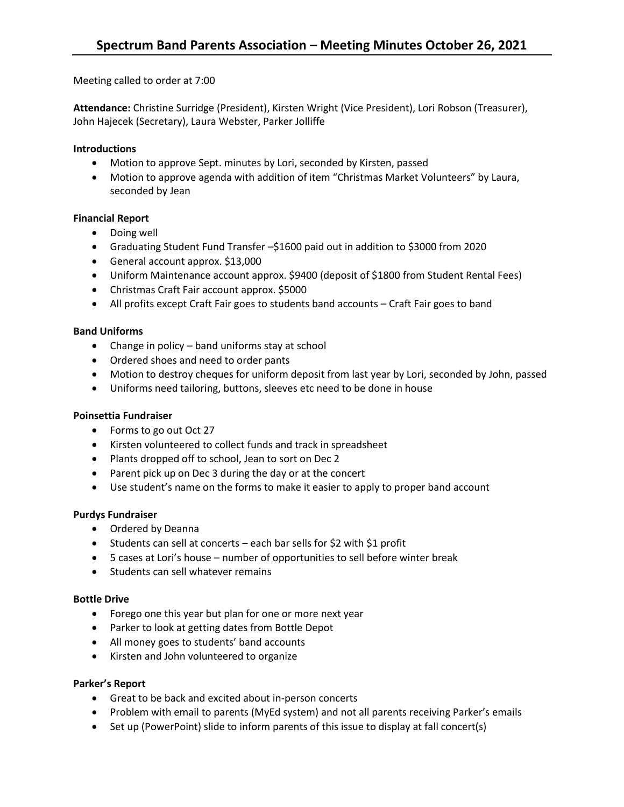Meeting called to order at 7:00

**Attendance:** Christine Surridge (President), Kirsten Wright (Vice President), Lori Robson (Treasurer), John Hajecek (Secretary), Laura Webster, Parker Jolliffe

# **Introductions**

- Motion to approve Sept. minutes by Lori, seconded by Kirsten, passed
- Motion to approve agenda with addition of item "Christmas Market Volunteers" by Laura, seconded by Jean

# **Financial Report**

- Doing well
- Graduating Student Fund Transfer –\$1600 paid out in addition to \$3000 from 2020
- General account approx. \$13,000
- Uniform Maintenance account approx. \$9400 (deposit of \$1800 from Student Rental Fees)
- Christmas Craft Fair account approx. \$5000
- All profits except Craft Fair goes to students band accounts Craft Fair goes to band

### **Band Uniforms**

- Change in policy band uniforms stay at school
- Ordered shoes and need to order pants
- Motion to destroy cheques for uniform deposit from last year by Lori, seconded by John, passed
- Uniforms need tailoring, buttons, sleeves etc need to be done in house

### **Poinsettia Fundraiser**

- Forms to go out Oct 27
- Kirsten volunteered to collect funds and track in spreadsheet
- Plants dropped off to school, Jean to sort on Dec 2
- Parent pick up on Dec 3 during the day or at the concert
- Use student's name on the forms to make it easier to apply to proper band account

### **Purdys Fundraiser**

- Ordered by Deanna
- Students can sell at concerts each bar sells for \$2 with \$1 profit
- 5 cases at Lori's house number of opportunities to sell before winter break
- Students can sell whatever remains

### **Bottle Drive**

- Forego one this year but plan for one or more next year
- Parker to look at getting dates from Bottle Depot
- All money goes to students' band accounts
- Kirsten and John volunteered to organize

### **Parker's Report**

- Great to be back and excited about in-person concerts
- Problem with email to parents (MyEd system) and not all parents receiving Parker's emails
- Set up (PowerPoint) slide to inform parents of this issue to display at fall concert(s)